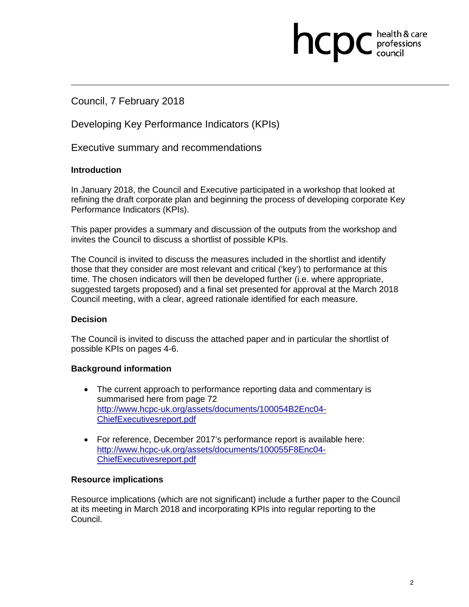# Council, 7 February 2018

Developing Key Performance Indicators (KPIs)

Executive summary and recommendations

#### **Introduction**

In January 2018, the Council and Executive participated in a workshop that looked at refining the draft corporate plan and beginning the process of developing corporate Key Performance Indicators (KPIs).

This paper provides a summary and discussion of the outputs from the workshop and invites the Council to discuss a shortlist of possible KPIs.

The Council is invited to discuss the measures included in the shortlist and identify those that they consider are most relevant and critical ('key') to performance at this time. The chosen indicators will then be developed further (i.e. where appropriate, suggested targets proposed) and a final set presented for approval at the March 2018 Council meeting, with a clear, agreed rationale identified for each measure.

#### **Decision**

The Council is invited to discuss the attached paper and in particular the shortlist of possible KPIs on pages 4-6.

#### **Background information**

- The current approach to performance reporting data and commentary is summarised here from page 72 http://www.hcpc-uk.org/assets/documents/100054B2Enc04- ChiefExecutivesreport.pdf
- For reference, December 2017's performance report is available here: http://www.hcpc-uk.org/assets/documents/100055F8Enc04- ChiefExecutivesreport.pdf

#### **Resource implications**

Resource implications (which are not significant) include a further paper to the Council at its meeting in March 2018 and incorporating KPIs into regular reporting to the Council.

health & care

ncpc professions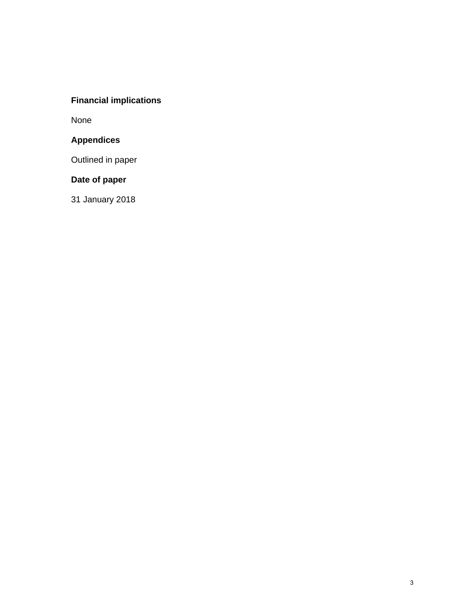# **Financial implications**

None

# **Appendices**

Outlined in paper

# **Date of paper**

31 January 2018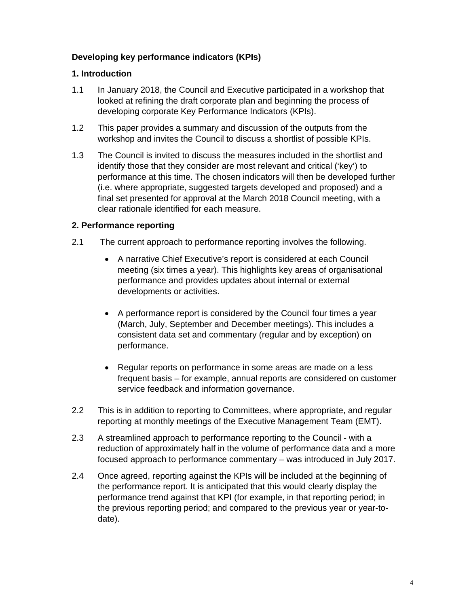## **Developing key performance indicators (KPIs)**

#### **1. Introduction**

- 1.1 In January 2018, the Council and Executive participated in a workshop that looked at refining the draft corporate plan and beginning the process of developing corporate Key Performance Indicators (KPIs).
- 1.2 This paper provides a summary and discussion of the outputs from the workshop and invites the Council to discuss a shortlist of possible KPIs.
- 1.3 The Council is invited to discuss the measures included in the shortlist and identify those that they consider are most relevant and critical ('key') to performance at this time. The chosen indicators will then be developed further (i.e. where appropriate, suggested targets developed and proposed) and a final set presented for approval at the March 2018 Council meeting, with a clear rationale identified for each measure.

### **2. Performance reporting**

- 2.1 The current approach to performance reporting involves the following.
	- A narrative Chief Executive's report is considered at each Council meeting (six times a year). This highlights key areas of organisational performance and provides updates about internal or external developments or activities.
	- A performance report is considered by the Council four times a year (March, July, September and December meetings). This includes a consistent data set and commentary (regular and by exception) on performance.
	- Regular reports on performance in some areas are made on a less frequent basis – for example, annual reports are considered on customer service feedback and information governance.
- 2.2 This is in addition to reporting to Committees, where appropriate, and regular reporting at monthly meetings of the Executive Management Team (EMT).
- 2.3 A streamlined approach to performance reporting to the Council with a reduction of approximately half in the volume of performance data and a more focused approach to performance commentary – was introduced in July 2017.
- 2.4 Once agreed, reporting against the KPIs will be included at the beginning of the performance report. It is anticipated that this would clearly display the performance trend against that KPI (for example, in that reporting period; in the previous reporting period; and compared to the previous year or year-todate).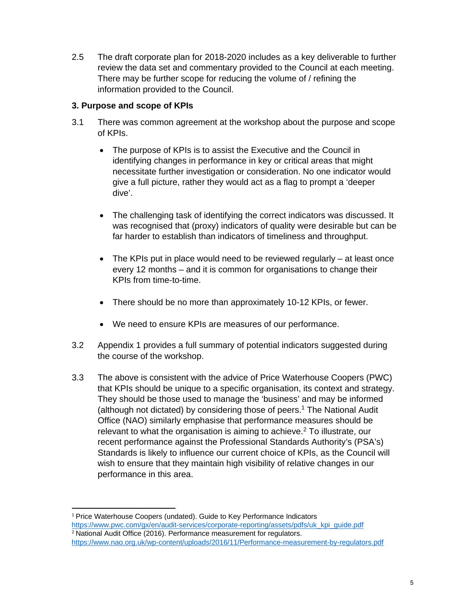2.5 The draft corporate plan for 2018-2020 includes as a key deliverable to further review the data set and commentary provided to the Council at each meeting. There may be further scope for reducing the volume of / refining the information provided to the Council.

# **3. Purpose and scope of KPIs**

- 3.1 There was common agreement at the workshop about the purpose and scope of KPIs.
	- The purpose of KPIs is to assist the Executive and the Council in identifying changes in performance in key or critical areas that might necessitate further investigation or consideration. No one indicator would give a full picture, rather they would act as a flag to prompt a 'deeper dive'.
	- The challenging task of identifying the correct indicators was discussed. It was recognised that (proxy) indicators of quality were desirable but can be far harder to establish than indicators of timeliness and throughput.
	- $\bullet$  The KPIs put in place would need to be reviewed regularly at least once every 12 months – and it is common for organisations to change their KPIs from time-to-time.
	- There should be no more than approximately 10-12 KPIs, or fewer.
	- We need to ensure KPIs are measures of our performance.
- 3.2 Appendix 1 provides a full summary of potential indicators suggested during the course of the workshop.
- 3.3 The above is consistent with the advice of Price Waterhouse Coopers (PWC) that KPIs should be unique to a specific organisation, its context and strategy. They should be those used to manage the 'business' and may be informed (although not dictated) by considering those of peers.<sup>1</sup> The National Audit Office (NAO) similarly emphasise that performance measures should be relevant to what the organisation is aiming to achieve.<sup>2</sup> To illustrate, our recent performance against the Professional Standards Authority's (PSA's) Standards is likely to influence our current choice of KPIs, as the Council will wish to ensure that they maintain high visibility of relative changes in our performance in this area.

 <sup>1</sup> Price Waterhouse Coopers (undated). Guide to Key Performance Indicators https://www.pwc.com/gx/en/audit-services/corporate-reporting/assets/pdfs/uk\_kpi\_guide.pdf  $2$  National Audit Office (2016). Performance measurement for regulators.

https://www.nao.org.uk/wp-content/uploads/2016/11/Performance-measurement-by-regulators.pdf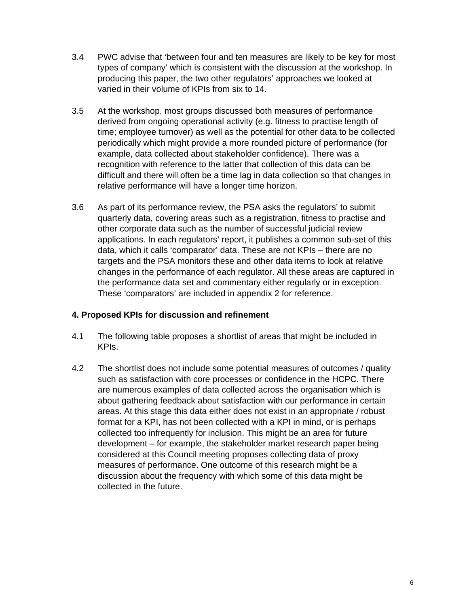- 3.4 PWC advise that 'between four and ten measures are likely to be key for most types of company' which is consistent with the discussion at the workshop. In producing this paper, the two other regulators' approaches we looked at varied in their volume of KPIs from six to 14.
- 3.5 At the workshop, most groups discussed both measures of performance derived from ongoing operational activity (e.g. fitness to practise length of time; employee turnover) as well as the potential for other data to be collected periodically which might provide a more rounded picture of performance (for example, data collected about stakeholder confidence). There was a recognition with reference to the latter that collection of this data can be difficult and there will often be a time lag in data collection so that changes in relative performance will have a longer time horizon.
- 3.6 As part of its performance review, the PSA asks the regulators' to submit quarterly data, covering areas such as a registration, fitness to practise and other corporate data such as the number of successful judicial review applications. In each regulators' report, it publishes a common sub-set of this data, which it calls 'comparator' data. These are not KPIs – there are no targets and the PSA monitors these and other data items to look at relative changes in the performance of each regulator. All these areas are captured in the performance data set and commentary either regularly or in exception. These 'comparators' are included in appendix 2 for reference.

## **4. Proposed KPIs for discussion and refinement**

- 4.1 The following table proposes a shortlist of areas that might be included in KPIs.
- 4.2 The shortlist does not include some potential measures of outcomes / quality such as satisfaction with core processes or confidence in the HCPC. There are numerous examples of data collected across the organisation which is about gathering feedback about satisfaction with our performance in certain areas. At this stage this data either does not exist in an appropriate / robust format for a KPI, has not been collected with a KPI in mind, or is perhaps collected too infrequently for inclusion. This might be an area for future development – for example, the stakeholder market research paper being considered at this Council meeting proposes collecting data of proxy measures of performance. One outcome of this research might be a discussion about the frequency with which some of this data might be collected in the future.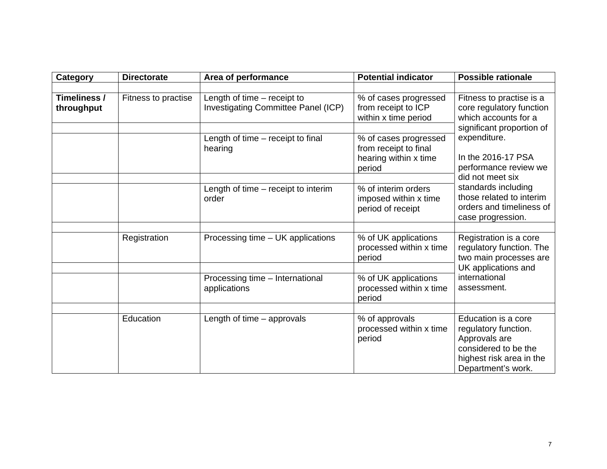| <b>Category</b>            | <b>Directorate</b><br>Area of performance |                                                                    | <b>Potential indicator</b>                                                        | <b>Possible rationale</b>                                                                                                                                                           |  |
|----------------------------|-------------------------------------------|--------------------------------------------------------------------|-----------------------------------------------------------------------------------|-------------------------------------------------------------------------------------------------------------------------------------------------------------------------------------|--|
|                            |                                           |                                                                    |                                                                                   |                                                                                                                                                                                     |  |
| Timeliness /<br>throughput | Fitness to practise                       | Length of time - receipt to<br>Investigating Committee Panel (ICP) | % of cases progressed<br>from receipt to ICP<br>within x time period              | Fitness to practise is a<br>core regulatory function<br>which accounts for a<br>significant proportion of                                                                           |  |
|                            |                                           | Length of time - receipt to final<br>hearing                       | % of cases progressed<br>from receipt to final<br>hearing within x time<br>period | expenditure.<br>In the 2016-17 PSA<br>performance review we<br>did not meet six<br>standards including<br>those related to interim<br>orders and timeliness of<br>case progression. |  |
|                            |                                           | Length of time – receipt to interim<br>order                       | % of interim orders<br>imposed within x time<br>period of receipt                 |                                                                                                                                                                                     |  |
|                            |                                           |                                                                    |                                                                                   |                                                                                                                                                                                     |  |
|                            | Registration                              | Processing time - UK applications                                  | % of UK applications<br>processed within x time<br>period                         | Registration is a core<br>regulatory function. The<br>two main processes are<br>UK applications and<br>international<br>assessment.                                                 |  |
|                            |                                           | Processing time - International<br>applications                    | % of UK applications<br>processed within x time<br>period                         |                                                                                                                                                                                     |  |
|                            |                                           |                                                                    |                                                                                   |                                                                                                                                                                                     |  |
|                            | Education                                 | Length of time $-$ approvals                                       | % of approvals<br>processed within x time<br>period                               | Education is a core<br>regulatory function.<br>Approvals are<br>considered to be the<br>highest risk area in the<br>Department's work.                                              |  |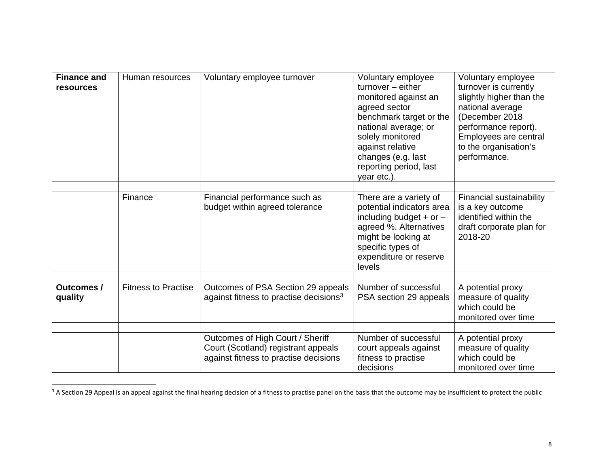| <b>Finance and</b><br><b>resources</b> | Human resources            | Voluntary employee turnover                                                                                      | Voluntary employee<br>$turnover - either$<br>monitored against an<br>agreed sector<br>benchmark target or the<br>national average; or<br>solely monitored<br>against relative<br>changes (e.g. last<br>reporting period, last<br>year etc.) | Voluntary employee<br>turnover is currently<br>slightly higher than the<br>national average<br>(December 2018<br>performance report).<br>Employees are central<br>to the organisation's<br>performance. |
|----------------------------------------|----------------------------|------------------------------------------------------------------------------------------------------------------|---------------------------------------------------------------------------------------------------------------------------------------------------------------------------------------------------------------------------------------------|---------------------------------------------------------------------------------------------------------------------------------------------------------------------------------------------------------|
|                                        |                            |                                                                                                                  |                                                                                                                                                                                                                                             |                                                                                                                                                                                                         |
|                                        | Finance                    | Financial performance such as<br>budget within agreed tolerance                                                  | There are a variety of<br>potential indicators area<br>including budget + or $-$<br>agreed %. Alternatives<br>might be looking at<br>specific types of<br>expenditure or reserve<br>levels                                                  | Financial sustainability<br>is a key outcome<br>identified within the<br>draft corporate plan for<br>2018-20                                                                                            |
| <b>Outcomes /</b><br>quality           | <b>Fitness to Practise</b> | Outcomes of PSA Section 29 appeals<br>against fitness to practise decisions <sup>3</sup>                         | Number of successful<br>PSA section 29 appeals                                                                                                                                                                                              | A potential proxy<br>measure of quality<br>which could be<br>monitored over time                                                                                                                        |
|                                        |                            |                                                                                                                  |                                                                                                                                                                                                                                             |                                                                                                                                                                                                         |
|                                        |                            | Outcomes of High Court / Sheriff<br>Court (Scotland) registrant appeals<br>against fitness to practise decisions | Number of successful<br>court appeals against<br>fitness to practise<br>decisions                                                                                                                                                           | A potential proxy<br>measure of quality<br>which could be<br>monitored over time                                                                                                                        |

 $3$  A Section 29 Appeal is an appeal against the final hearing decision of a fitness to practise panel on the basis that the outcome may be insufficient to protect the public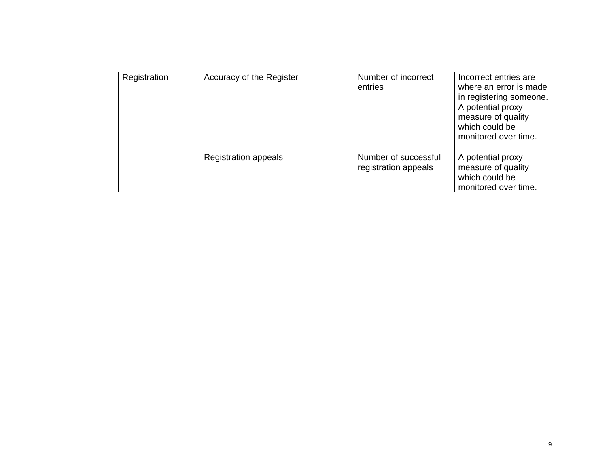| Registration | Accuracy of the Register    | Number of incorrect<br>entries               | Incorrect entries are<br>where an error is made<br>in registering someone.<br>A potential proxy<br>measure of quality<br>which could be<br>monitored over time. |
|--------------|-----------------------------|----------------------------------------------|-----------------------------------------------------------------------------------------------------------------------------------------------------------------|
|              |                             |                                              |                                                                                                                                                                 |
|              | <b>Registration appeals</b> | Number of successful<br>registration appeals | A potential proxy<br>measure of quality<br>which could be<br>monitored over time.                                                                               |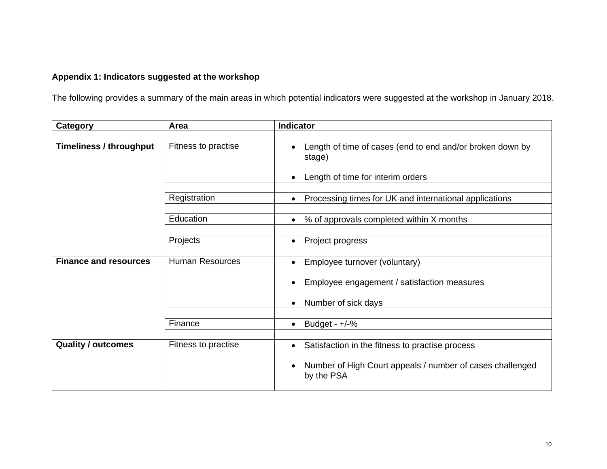## **Appendix 1: Indicators suggested at the workshop**

The following provides a summary of the main areas in which potential indicators were suggested at the workshop in January 2018.

| <b>Category</b>                | Area                   | <b>Indicator</b>                                                                                         |
|--------------------------------|------------------------|----------------------------------------------------------------------------------------------------------|
|                                |                        |                                                                                                          |
| <b>Timeliness / throughput</b> | Fitness to practise    | Length of time of cases (end to end and/or broken down by<br>stage)<br>Length of time for interim orders |
|                                |                        |                                                                                                          |
|                                | Registration           | Processing times for UK and international applications                                                   |
|                                |                        |                                                                                                          |
|                                | Education              | % of approvals completed within X months<br>$\bullet$                                                    |
|                                |                        |                                                                                                          |
|                                | Projects               | Project progress<br>$\bullet$                                                                            |
|                                |                        |                                                                                                          |
| <b>Finance and resources</b>   | <b>Human Resources</b> | Employee turnover (voluntary)                                                                            |
|                                |                        | Employee engagement / satisfaction measures                                                              |
|                                |                        | Number of sick days                                                                                      |
|                                |                        |                                                                                                          |
|                                | Finance                | Budget - $+/-%$<br>$\bullet$                                                                             |
|                                |                        |                                                                                                          |
| <b>Quality / outcomes</b>      | Fitness to practise    | Satisfaction in the fitness to practise process<br>$\bullet$                                             |
|                                |                        | Number of High Court appeals / number of cases challenged<br>by the PSA                                  |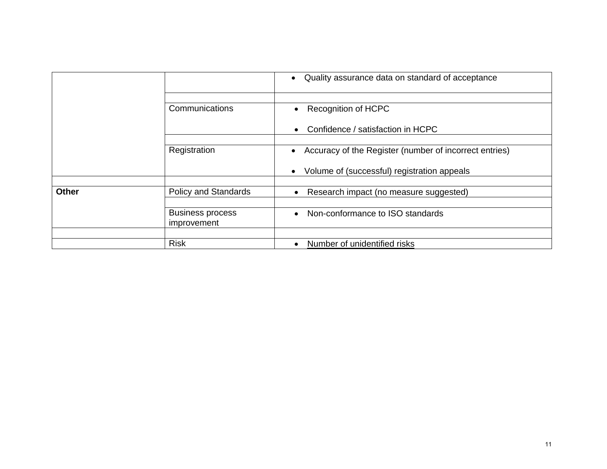|              |                                        | Quality assurance data on standard of acceptance<br>$\bullet$ |
|--------------|----------------------------------------|---------------------------------------------------------------|
|              |                                        |                                                               |
|              | Communications                         | <b>Recognition of HCPC</b><br>$\bullet$                       |
|              |                                        | Confidence / satisfaction in HCPC<br>$\bullet$                |
|              | Registration                           | Accuracy of the Register (number of incorrect entries)        |
|              |                                        | Volume of (successful) registration appeals                   |
|              |                                        |                                                               |
| <b>Other</b> | <b>Policy and Standards</b>            | Research impact (no measure suggested)<br>$\bullet$           |
|              |                                        |                                                               |
|              | <b>Business process</b><br>improvement | Non-conformance to ISO standards<br>$\bullet$                 |
|              |                                        |                                                               |
|              | <b>Risk</b>                            | Number of unidentified risks                                  |